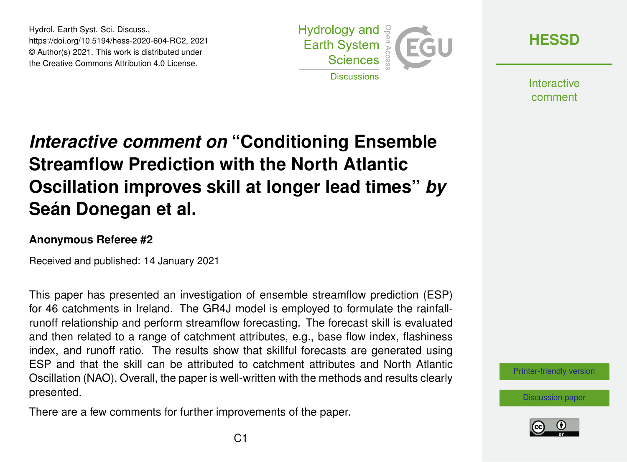Hydrol. Earth Syst. Sci. Discuss., https://doi.org/10.5194/hess-2020-604-RC2, 2021 © Author(s) 2021. This work is distributed under the Creative Commons Attribution 4.0 License.



**[HESSD](https://hess.copernicus.org/preprints/)**

**Interactive** comment

## *Interactive comment on* **"Conditioning Ensemble Streamflow Prediction with the North Atlantic Oscillation improves skill at longer lead times"** *by* **Seán Donegan et al.**

## **Anonymous Referee #2**

Received and published: 14 January 2021

This paper has presented an investigation of ensemble streamflow prediction (ESP) for 46 catchments in Ireland. The GR4J model is employed to formulate the rainfallrunoff relationship and perform streamflow forecasting. The forecast skill is evaluated and then related to a range of catchment attributes, e.g., base flow index, flashiness index, and runoff ratio. The results show that skillful forecasts are generated using ESP and that the skill can be attributed to catchment attributes and North Atlantic Oscillation (NAO). Overall, the paper is well-written with the methods and results clearly presented.

There are a few comments for further improvements of the paper.



[Discussion paper](https://hess.copernicus.org/preprints/hess-2020-604)